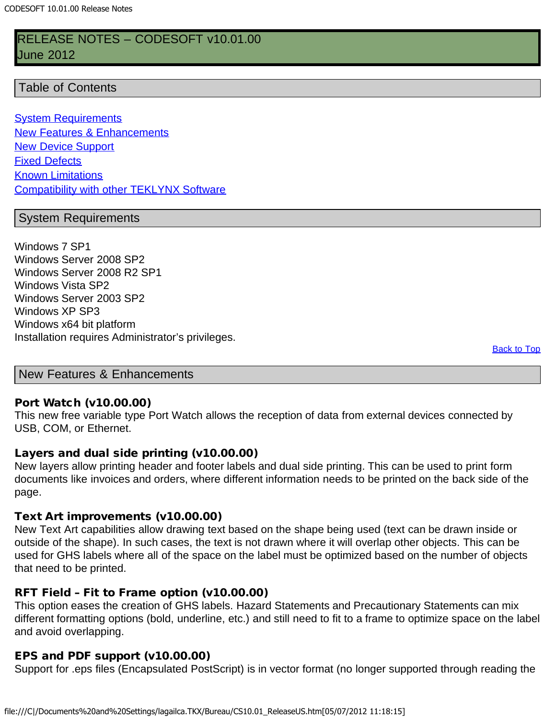## <span id="page-0-2"></span>RELEASE NOTES – CODESOFT v10.01.00 June 2012

#### Table of Contents

**[System Requirements](#page-0-0) [New Features & Enhancements](#page-0-1)** [New Device Support](#page-6-0) [Fixed Defects](#page-15-0) **[Known Limitations](#page-17-0) [Compatibility with other TEKLYNX Software](#page-19-0)** 

#### <span id="page-0-0"></span>System Requirements

Windows 7 SP1 Windows Server 2008 SP2 Windows Server 2008 R2 SP1 Windows Vista SP2 Windows Server 2003 SP2 Windows XP SP3 Windows x64 bit platform Installation requires Administrator's privileges.

**[Back to Top](#page-0-2)** 

<span id="page-0-1"></span>New Features & Enhancements

#### Port Watch (v10.00.00)

This new free variable type Port Watch allows the reception of data from external devices connected by USB, COM, or Ethernet.

#### Layers and dual side printing (v10.00.00)

New layers allow printing header and footer labels and dual side printing. This can be used to print form documents like invoices and orders, where different information needs to be printed on the back side of the page.

#### Text Art improvements (v10.00.00)

New Text Art capabilities allow drawing text based on the shape being used (text can be drawn inside or outside of the shape). In such cases, the text is not drawn where it will overlap other objects. This can be used for GHS labels where all of the space on the label must be optimized based on the number of objects that need to be printed.

#### RFT Field – Fit to Frame option (v10.00.00)

This option eases the creation of GHS labels. Hazard Statements and Precautionary Statements can mix different formatting options (bold, underline, etc.) and still need to fit to a frame to optimize space on the label and avoid overlapping.

#### EPS and PDF support (v10.00.00)

Support for .eps files (Encapsulated PostScript) is in vector format (no longer supported through reading the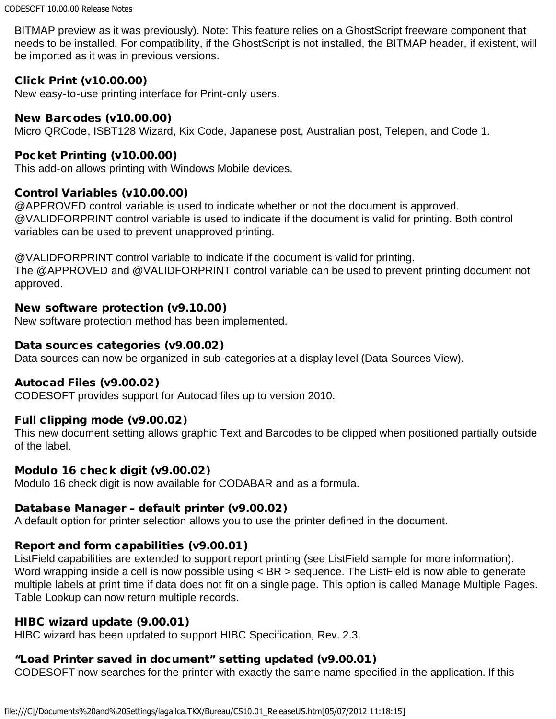BITMAP preview as it was previously). Note: This feature relies on a GhostScript freeware component that needs to be installed. For compatibility, if the GhostScript is not installed, the BITMAP header, if existent, will be imported as it was in previous versions.

### Click Print (v10.00.00)

New easy-to-use printing interface for Print-only users.

#### New Barcodes (v10.00.00)

Micro QRCode, ISBT128 Wizard, Kix Code, Japanese post, Australian post, Telepen, and Code 1.

#### Pocket Printing (v10.00.00)

This add-on allows printing with Windows Mobile devices.

#### Control Variables (v10.00.00)

@APPROVED control variable is used to indicate whether or not the document is approved. @VALIDFORPRINT control variable is used to indicate if the document is valid for printing. Both control variables can be used to prevent unapproved printing.

@VALIDFORPRINT control variable to indicate if the document is valid for printing. The @APPROVED and @VALIDFORPRINT control variable can be used to prevent printing document not approved.

#### New software protection (v9.10.00)

New software protection method has been implemented.

#### Data sources categories (v9.00.02)

Data sources can now be organized in sub-categories at a display level (Data Sources View).

### Autocad Files (v9.00.02)

CODESOFT provides support for Autocad files up to version 2010.

### Full clipping mode (v9.00.02)

This new document setting allows graphic Text and Barcodes to be clipped when positioned partially outside of the label.

#### Modulo 16 check digit (v9.00.02)

Modulo 16 check digit is now available for CODABAR and as a formula.

### Database Manager – default printer (v9.00.02)

A default option for printer selection allows you to use the printer defined in the document.

### Report and form capabilities (v9.00.01)

ListField capabilities are extended to support report printing (see ListField sample for more information). Word wrapping inside a cell is now possible using < BR > sequence. The ListField is now able to generate multiple labels at print time if data does not fit on a single page. This option is called Manage Multiple Pages. Table Lookup can now return multiple records.

### HIBC wizard update (9.00.01)

HIBC wizard has been updated to support HIBC Specification, Rev. 2.3.

## "Load Printer saved in document" setting updated (v9.00.01)

CODESOFT now searches for the printer with exactly the same name specified in the application. If this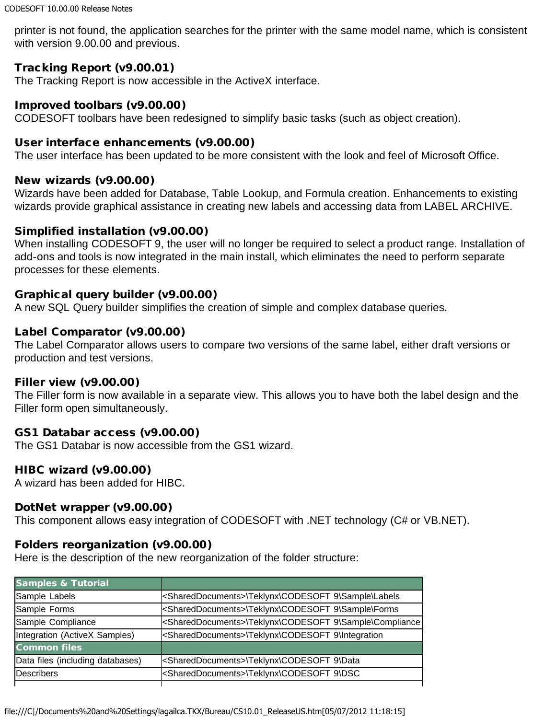printer is not found, the application searches for the printer with the same model name, which is consistent with version 9.00.00 and previous.

## Tracking Report (v9.00.01)

The Tracking Report is now accessible in the ActiveX interface.

#### Improved toolbars (v9.00.00)

CODESOFT toolbars have been redesigned to simplify basic tasks (such as object creation).

#### User interface enhancements (v9.00.00)

The user interface has been updated to be more consistent with the look and feel of Microsoft Office.

#### New wizards (v9.00.00)

Wizards have been added for Database, Table Lookup, and Formula creation. Enhancements to existing wizards provide graphical assistance in creating new labels and accessing data from LABEL ARCHIVE.

### Simplified installation (v9.00.00)

When installing CODESOFT 9, the user will no longer be required to select a product range. Installation of add-ons and tools is now integrated in the main install, which eliminates the need to perform separate processes for these elements.

### Graphical query builder (v9.00.00)

A new SQL Query builder simplifies the creation of simple and complex database queries.

### Label Comparator (v9.00.00)

The Label Comparator allows users to compare two versions of the same label, either draft versions or production and test versions.

### Filler view (v9.00.00)

The Filler form is now available in a separate view. This allows you to have both the label design and the Filler form open simultaneously.

### GS1 Databar access (v9.00.00)

The GS1 Databar is now accessible from the GS1 wizard.

### HIBC wizard (v9.00.00)

A wizard has been added for HIBC.

### DotNet wrapper (v9.00.00)

This component allows easy integration of CODESOFT with .NET technology (C# or VB.NET).

### Folders reorganization (v9.00.00)

Here is the description of the new reorganization of the folder structure:

| <b>Samples &amp; Tutorial</b>    |                                                                          |
|----------------------------------|--------------------------------------------------------------------------|
| Sample Labels                    | <shareddocuments>\Teklynx\CODESOFT 9\Sample\Labels</shareddocuments>     |
| Sample Forms                     | <shareddocuments>\Teklynx\CODESOFT 9\Sample\Forms</shareddocuments>      |
| Sample Compliance                | <shareddocuments>\Teklynx\CODESOFT 9\Sample\Compliance</shareddocuments> |
| Integration (ActiveX Samples)    | <shareddocuments>\Teklynx\CODESOFT 9\Integration</shareddocuments>       |
| <b>Common files</b>              |                                                                          |
| Data files (including databases) | <shareddocuments>\Teklynx\CODESOFT 9\Data</shareddocuments>              |
| lDescribers                      | <shareddocuments>\Teklynx\CODESOFT 9\DSC</shareddocuments>               |
|                                  |                                                                          |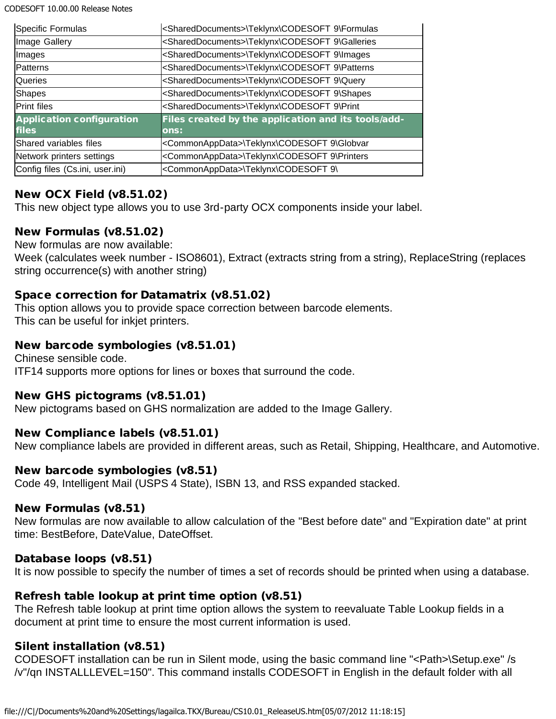CODESOFT 10.00.00 Release Notes

| Specific Formulas                | <shareddocuments>\Teklynx\CODESOFT 9\Formulas</shareddocuments>  |
|----------------------------------|------------------------------------------------------------------|
| Image Gallery                    | <shareddocuments>\Teklynx\CODESOFT 9\Galleries</shareddocuments> |
| Images                           | <shareddocuments>\Teklynx\CODESOFT 9\Images</shareddocuments>    |
| Patterns                         | <shareddocuments>\Teklynx\CODESOFT 9\Patterns</shareddocuments>  |
| Queries                          | <shareddocuments>\Teklynx\CODESOFT 9\Query</shareddocuments>     |
| Shapes                           | <shareddocuments>\Teklynx\CODESOFT 9\Shapes</shareddocuments>    |
| Print files                      | <shareddocuments>\Teklynx\CODESOFT 9\Print</shareddocuments>     |
| <b>Application configuration</b> | Files created by the application and its tools/add-              |
| <b>files</b>                     | ons:                                                             |
| Shared variables files           | <commonappdata>\Teklynx\CODESOFT 9\Globvar</commonappdata>       |
| Network printers settings        | <commonappdata>\Teklynx\CODESOFT 9\Printers</commonappdata>      |
| Config files (Cs.ini, user.ini)  | <commonappdata>\Teklynx\CODESOFT 9\</commonappdata>              |

## New OCX Field (v8.51.02)

This new object type allows you to use 3rd-party OCX components inside your label.

### New Formulas (v8.51.02)

New formulas are now available:

Week (calculates week number - ISO8601), Extract (extracts string from a string), ReplaceString (replaces string occurrence(s) with another string)

#### Space correction for Datamatrix (v8.51.02)

This option allows you to provide space correction between barcode elements. This can be useful for inkjet printers.

### New barcode symbologies (v8.51.01)

Chinese sensible code. ITF14 supports more options for lines or boxes that surround the code.

### New GHS pictograms (v8.51.01)

New pictograms based on GHS normalization are added to the Image Gallery.

### New Compliance labels (v8.51.01)

New compliance labels are provided in different areas, such as Retail, Shipping, Healthcare, and Automotive.

### New barcode symbologies (v8.51)

Code 49, Intelligent Mail (USPS 4 State), ISBN 13, and RSS expanded stacked.

#### New Formulas (v8.51)

New formulas are now available to allow calculation of the "Best before date" and "Expiration date" at print time: BestBefore, DateValue, DateOffset.

### Database loops (v8.51)

It is now possible to specify the number of times a set of records should be printed when using a database.

### Refresh table lookup at print time option (v8.51)

The Refresh table lookup at print time option allows the system to reevaluate Table Lookup fields in a document at print time to ensure the most current information is used.

### Silent installation (v8.51)

CODESOFT installation can be run in Silent mode, using the basic command line "<Path>\Setup.exe" /s /v"/qn INSTALLLEVEL=150". This command installs CODESOFT in English in the default folder with all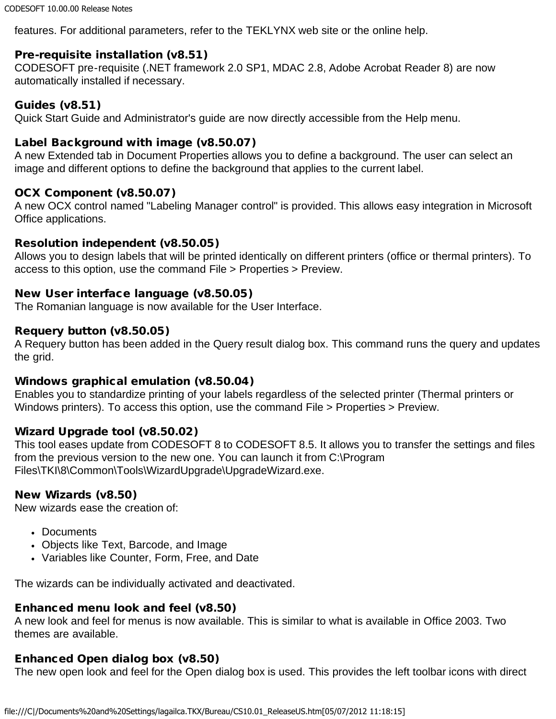features. For additional parameters, refer to the TEKLYNX web site or the online help.

## Pre-requisite installation (v8.51)

CODESOFT pre-requisite (.NET framework 2.0 SP1, MDAC 2.8, Adobe Acrobat Reader 8) are now automatically installed if necessary.

#### Guides (v8.51)

Quick Start Guide and Administrator's guide are now directly accessible from the Help menu.

#### Label Background with image (v8.50.07)

A new Extended tab in Document Properties allows you to define a background. The user can select an image and different options to define the background that applies to the current label.

### OCX Component (v8.50.07)

A new OCX control named "Labeling Manager control" is provided. This allows easy integration in Microsoft Office applications.

#### Resolution independent (v8.50.05)

Allows you to design labels that will be printed identically on different printers (office or thermal printers). To access to this option, use the command File > Properties > Preview.

#### New User interface language (v8.50.05)

The Romanian language is now available for the User Interface.

#### Requery button (v8.50.05)

A Requery button has been added in the Query result dialog box. This command runs the query and updates the grid.

#### Windows graphical emulation (v8.50.04)

Enables you to standardize printing of your labels regardless of the selected printer (Thermal printers or Windows printers). To access this option, use the command File > Properties > Preview.

#### Wizard Upgrade tool (v8.50.02)

This tool eases update from CODESOFT 8 to CODESOFT 8.5. It allows you to transfer the settings and files from the previous version to the new one. You can launch it from C:\Program Files\TKI\8\Common\Tools\WizardUpgrade\UpgradeWizard.exe.

#### New Wizards (v8.50)

New wizards ease the creation of:

- Documents
- Objects like Text, Barcode, and Image
- Variables like Counter, Form, Free, and Date

The wizards can be individually activated and deactivated.

### Enhanced menu look and feel (v8.50)

A new look and feel for menus is now available. This is similar to what is available in Office 2003. Two themes are available.

### Enhanced Open dialog box (v8.50)

The new open look and feel for the Open dialog box is used. This provides the left toolbar icons with direct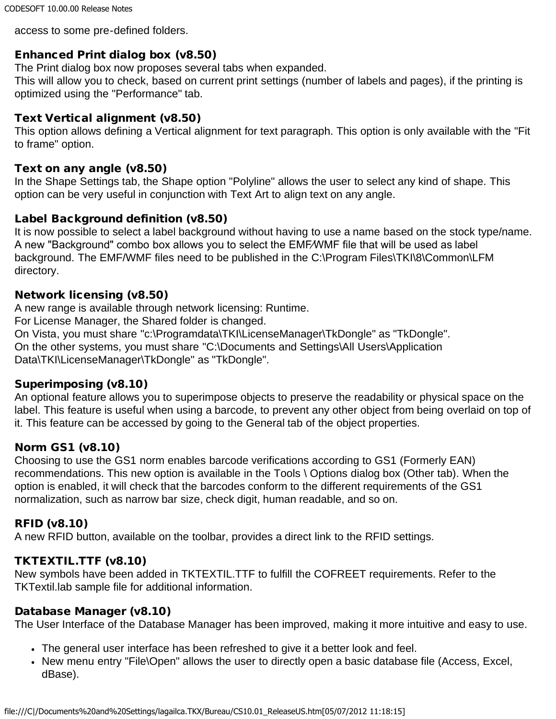access to some pre-defined folders.

## Enhanced Print dialog box (v8.50)

The Print dialog box now proposes several tabs when expanded.

This will allow you to check, based on current print settings (number of labels and pages), if the printing is optimized using the "Performance" tab.

#### Text Vertical alignment (v8.50)

This option allows defining a Vertical alignment for text paragraph. This option is only available with the "Fit to frame" option.

#### Text on any angle (v8.50)

In the Shape Settings tab, the Shape option "Polyline" allows the user to select any kind of shape. This option can be very useful in conjunction with Text Art to align text on any angle.

### Label Background definition (v8.50)

It is now possible to select a label background without having to use a name based on the stock type/name. A new "Background" combo box allows you to select the EMF⁄WMF file that will be used as label background. The EMF/WMF files need to be published in the C:\Program Files\TKI\8\Common\LFM directory.

### Network licensing (v8.50)

A new range is available through network licensing: Runtime. For License Manager, the Shared folder is changed. On Vista, you must share "c:\Programdata\TKI\LicenseManager\TkDongle" as "TkDongle". On the other systems, you must share "C:\Documents and Settings\All Users\Application Data\TKI\LicenseManager\TkDongle" as "TkDongle".

#### Superimposing (v8.10)

An optional feature allows you to superimpose objects to preserve the readability or physical space on the label. This feature is useful when using a barcode, to prevent any other object from being overlaid on top of it. This feature can be accessed by going to the General tab of the object properties.

### Norm GS1 (v8.10)

Choosing to use the GS1 norm enables barcode verifications according to GS1 (Formerly EAN) recommendations. This new option is available in the Tools \ Options dialog box (Other tab). When the option is enabled, it will check that the barcodes conform to the different requirements of the GS1 normalization, such as narrow bar size, check digit, human readable, and so on.

### RFID (v8.10)

A new RFID button, available on the toolbar, provides a direct link to the RFID settings.

### TKTEXTIL.TTF (v8.10)

New symbols have been added in TKTEXTIL.TTF to fulfill the COFREET requirements. Refer to the TKTextil.lab sample file for additional information.

### Database Manager (v8.10)

The User Interface of the Database Manager has been improved, making it more intuitive and easy to use.

- The general user interface has been refreshed to give it a better look and feel.
- New menu entry "File\Open" allows the user to directly open a basic database file (Access, Excel, dBase).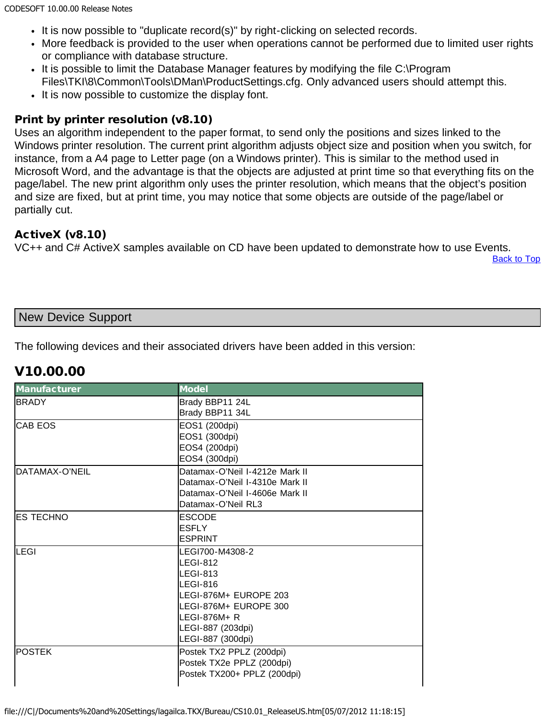- It is now possible to "duplicate record(s)" by right-clicking on selected records.
- More feedback is provided to the user when operations cannot be performed due to limited user rights or compliance with database structure.
- It is possible to limit the Database Manager features by modifying the file C:\Program Files\TKI\8\Common\Tools\DMan\ProductSettings.cfg. Only advanced users should attempt this.
- It is now possible to customize the display font.

## Print by printer resolution (v8.10)

Uses an algorithm independent to the paper format, to send only the positions and sizes linked to the Windows printer resolution. The current print algorithm adjusts object size and position when you switch, for instance, from a A4 page to Letter page (on a Windows printer). This is similar to the method used in Microsoft Word, and the advantage is that the objects are adjusted at print time so that everything fits on the page/label. The new print algorithm only uses the printer resolution, which means that the object's position and size are fixed, but at print time, you may notice that some objects are outside of the page/label or partially cut.

## ActiveX (v8.10)

VC++ and C# ActiveX samples available on CD have been updated to demonstrate how to use Events.

**[Back to Top](#page-0-2)** 

## <span id="page-6-0"></span>New Device Support

The following devices and their associated drivers have been added in this version:

# V10.00.00

| <b>Manufacturer</b> | <b>Model</b>                   |
|---------------------|--------------------------------|
| <b>BRADY</b>        | Brady BBP11 24L                |
|                     | Brady BBP11 34L                |
| <b>CAB EOS</b>      | EOS1 (200dpi)                  |
|                     | EOS1 (300dpi)                  |
|                     | EOS4 (200dpi)                  |
|                     | EOS4 (300dpi)                  |
| DATAMAX-O'NEIL      | Datamax-O'Neil I-4212e Mark II |
|                     | Datamax-O'Neil I-4310e Mark II |
|                     | Datamax-O'Neil I-4606e Mark II |
|                     | Datamax-O'Neil RL3             |
| <b>ES TECHNO</b>    | <b>ESCODE</b>                  |
|                     | <b>IESFLY</b>                  |
|                     | <b>ESPRINT</b>                 |
| LEGI                | LEGI700-M4308-2                |
|                     | LEGI-812                       |
|                     | LEGI-813                       |
|                     | $LEGI-816$                     |
|                     | LEGI-876M+ EUROPE 203          |
|                     | LEGI-876M+ EUROPE 300          |
|                     | llegi-876M+ R                  |
|                     | LEGI-887 (203dpi)              |
|                     | LEGI-887 (300dpi)              |
| <b>POSTEK</b>       | Postek TX2 PPLZ (200dpi)       |
|                     | Postek TX2e PPLZ (200dpi)      |
|                     | Postek TX200+ PPLZ (200dpi)    |
|                     |                                |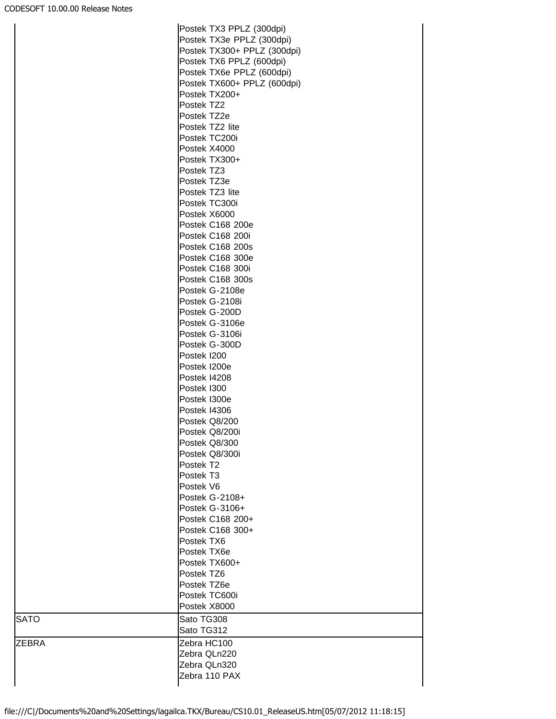|             | Postek TX3 PPLZ (300dpi)    |
|-------------|-----------------------------|
|             | Postek TX3e PPLZ (300dpi)   |
|             | Postek TX300+ PPLZ (300dpi) |
|             | Postek TX6 PPLZ (600dpi)    |
|             | Postek TX6e PPLZ (600dpi)   |
|             |                             |
|             | Postek TX600+ PPLZ (600dpi) |
|             | Postek TX200+               |
|             | Postek TZ2                  |
|             | Postek TZ2e                 |
|             | Postek TZ2 lite             |
|             | Postek TC200i               |
|             | Postek X4000                |
|             | Postek TX300+               |
|             | Postek TZ3                  |
|             | Postek TZ3e                 |
|             | Postek TZ3 lite             |
|             | Postek TC300i               |
|             | Postek X6000                |
|             | Postek C168 200e            |
|             | Postek C168 200i            |
|             | <b>Postek C168 200s</b>     |
|             | Postek C168 300e            |
|             | Postek C168 300i            |
|             | Postek C168 300s            |
|             | Postek G-2108e              |
|             | Postek G-2108i              |
|             | Postek G-200D               |
|             | Postek G-3106e              |
|             |                             |
|             | Postek G-3106i              |
|             | Postek G-300D               |
|             | Postek I200                 |
|             | Postek I200e                |
|             | Postek I4208                |
|             | Postek I300                 |
|             | Postek I300e                |
|             | Postek I4306                |
|             | Postek Q8/200               |
|             | Postek Q8/200i              |
|             | Postek Q8/300               |
|             | Postek Q8/300i              |
|             | Postek T2                   |
|             | Postek T3                   |
|             | Postek V6                   |
|             | Postek G-2108+              |
|             | Postek G-3106+              |
|             | Postek C168 200+            |
|             | Postek C168 300+            |
|             | Postek TX6                  |
|             | Postek TX6e                 |
|             | Postek TX600+               |
|             | Postek TZ6                  |
|             | Postek TZ6e                 |
|             | Postek TC600i               |
|             | Postek X8000                |
| <b>SATO</b> | Sato TG308                  |
|             |                             |
|             | Sato TG312                  |
| ZEBRA       | Zebra HC100                 |
|             | Zebra QLn220                |
|             | Zebra QLn320                |
|             | Zebra 110 PAX               |
|             |                             |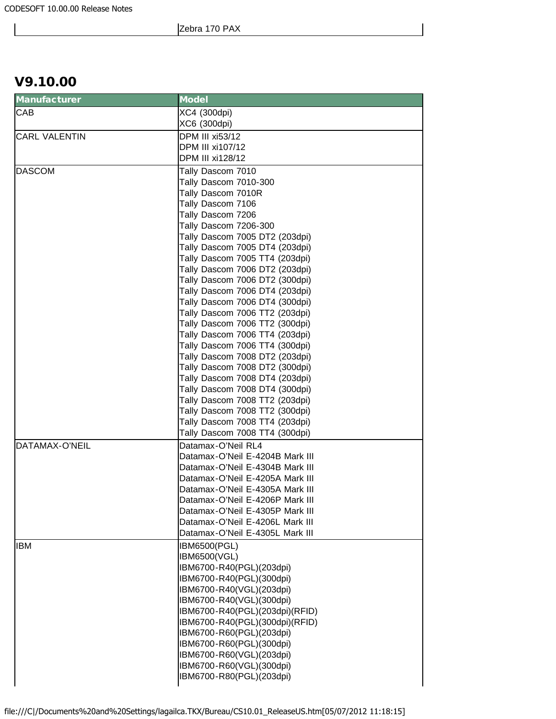## V9.10.00

| <b>Manufacturer</b>  | <b>Model</b>                                                     |
|----------------------|------------------------------------------------------------------|
| CAB                  | XC4 (300dpi)                                                     |
|                      | XC6 (300dpi)                                                     |
| <b>CARL VALENTIN</b> | <b>DPM III xi53/12</b>                                           |
|                      | DPM III xi107/12                                                 |
|                      | DPM III xi128/12                                                 |
| <b>DASCOM</b>        | Tally Dascom 7010                                                |
|                      | Tally Dascom 7010-300                                            |
|                      | Tally Dascom 7010R                                               |
|                      | Tally Dascom 7106                                                |
|                      | Tally Dascom 7206                                                |
|                      | Tally Dascom 7206-300                                            |
|                      | Tally Dascom 7005 DT2 (203dpi)                                   |
|                      | Tally Dascom 7005 DT4 (203dpi)                                   |
|                      | Tally Dascom 7005 TT4 (203dpi)                                   |
|                      | Tally Dascom 7006 DT2 (203dpi)                                   |
|                      | Tally Dascom 7006 DT2 (300dpi)                                   |
|                      | Tally Dascom 7006 DT4 (203dpi)                                   |
|                      | Tally Dascom 7006 DT4 (300dpi)                                   |
|                      | Tally Dascom 7006 TT2 (203dpi)                                   |
|                      | Tally Dascom 7006 TT2 (300dpi)                                   |
|                      | Tally Dascom 7006 TT4 (203dpi)                                   |
|                      | Tally Dascom 7006 TT4 (300dpi)                                   |
|                      | Tally Dascom 7008 DT2 (203dpi)                                   |
|                      | Tally Dascom 7008 DT2 (300dpi)                                   |
|                      | Tally Dascom 7008 DT4 (203dpi)                                   |
|                      | Tally Dascom 7008 DT4 (300dpi)                                   |
|                      | Tally Dascom 7008 TT2 (203dpi)<br>Tally Dascom 7008 TT2 (300dpi) |
|                      | Tally Dascom 7008 TT4 (203dpi)                                   |
|                      | Tally Dascom 7008 TT4 (300dpi)                                   |
| DATAMAX-O'NEIL       | Datamax-O'Neil RL4                                               |
|                      | Datamax-O'Neil E-4204B Mark III                                  |
|                      | Datamax-O'Neil E-4304B Mark III                                  |
|                      | Datamax-O'Neil E-4205A Mark III                                  |
|                      | Datamax-O'Neil E-4305A Mark III                                  |
|                      | Datamax-O'Neil E-4206P Mark III                                  |
|                      | Datamax-O'Neil E-4305P Mark III                                  |
|                      | Datamax-O'Neil E-4206L Mark III                                  |
|                      | Datamax-O'Neil E-4305L Mark III                                  |
| <b>IBM</b>           | IBM6500(PGL)                                                     |
|                      | <b>IBM6500(VGL)</b>                                              |
|                      | IBM6700-R40(PGL)(203dpi)                                         |
|                      | IBM6700-R40(PGL)(300dpi)                                         |
|                      | IBM6700-R40(VGL)(203dpi)                                         |
|                      | IBM6700-R40(VGL)(300dpi)                                         |
|                      | IBM6700-R40(PGL)(203dpi)(RFID)                                   |
|                      | IBM6700-R40(PGL)(300dpi)(RFID)                                   |
|                      | IBM6700-R60(PGL)(203dpi)                                         |
|                      | IBM6700-R60(PGL)(300dpi)                                         |
|                      | IBM6700-R60(VGL)(203dpi)                                         |
|                      | IBM6700-R60(VGL)(300dpi)                                         |
|                      | IBM6700-R80(PGL)(203dpi)                                         |
|                      |                                                                  |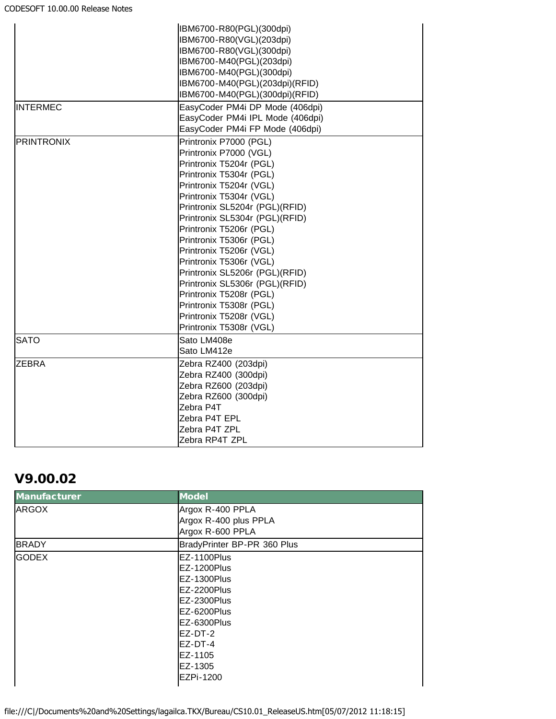|                   | IBM6700-R80(PGL)(300dpi)         |
|-------------------|----------------------------------|
|                   | IBM6700-R80(VGL)(203dpi)         |
|                   | IBM6700-R80(VGL)(300dpi)         |
|                   | IBM6700-M40(PGL)(203dpi)         |
|                   | IBM6700-M40(PGL)(300dpi)         |
|                   | IBM6700-M40(PGL)(203dpi)(RFID)   |
|                   | IBM6700-M40(PGL)(300dpi)(RFID)   |
| <b>INTERMEC</b>   | EasyCoder PM4i DP Mode (406dpi)  |
|                   | EasyCoder PM4i IPL Mode (406dpi) |
|                   | EasyCoder PM4i FP Mode (406dpi)  |
| <b>PRINTRONIX</b> | Printronix P7000 (PGL)           |
|                   | Printronix P7000 (VGL)           |
|                   | Printronix T5204r (PGL)          |
|                   | Printronix T5304r (PGL)          |
|                   | Printronix T5204r (VGL)          |
|                   | Printronix T5304r (VGL)          |
|                   | Printronix SL5204r (PGL)(RFID)   |
|                   | Printronix SL5304r (PGL)(RFID)   |
|                   | Printronix T5206r (PGL)          |
|                   | Printronix T5306r (PGL)          |
|                   | Printronix T5206r (VGL)          |
|                   | Printronix T5306r (VGL)          |
|                   | Printronix SL5206r (PGL)(RFID)   |
|                   | Printronix SL5306r (PGL)(RFID)   |
|                   | Printronix T5208r (PGL)          |
|                   | Printronix T5308r (PGL)          |
|                   | Printronix T5208r (VGL)          |
|                   | Printronix T5308r (VGL)          |
| <b>SATO</b>       | Sato LM408e                      |
|                   | Sato LM412e                      |
| <b>ZEBRA</b>      | Zebra RZ400 (203dpi)             |
|                   | Zebra RZ400 (300dpi)             |
|                   | Zebra RZ600 (203dpi)             |
|                   | Zebra RZ600 (300dpi)             |
|                   | Zebra P4T                        |
|                   | Zebra P4T EPL                    |
|                   | Zebra P4T ZPL                    |
|                   | Zebra RP4T ZPL                   |

## V9.00.02

| <b>Manufacturer</b> | <b>Model</b>                |
|---------------------|-----------------------------|
| <b>ARGOX</b>        | Argox R-400 PPLA            |
|                     | Argox R-400 plus PPLA       |
|                     | Argox R-600 PPLA            |
| <b>BRADY</b>        | BradyPrinter BP-PR 360 Plus |
| <b>GODEX</b>        | EZ-1100Plus                 |
|                     | EZ-1200Plus                 |
|                     | EZ-1300Plus                 |
|                     | EZ-2200Plus                 |
|                     | EZ-2300Plus                 |
|                     | EZ-6200Plus                 |
|                     | EZ-6300Plus                 |
|                     | $FZ-DT-2$                   |
|                     | EZ-DT-4                     |
|                     | EZ-1105                     |
|                     | EZ-1305                     |
|                     | EZPi-1200                   |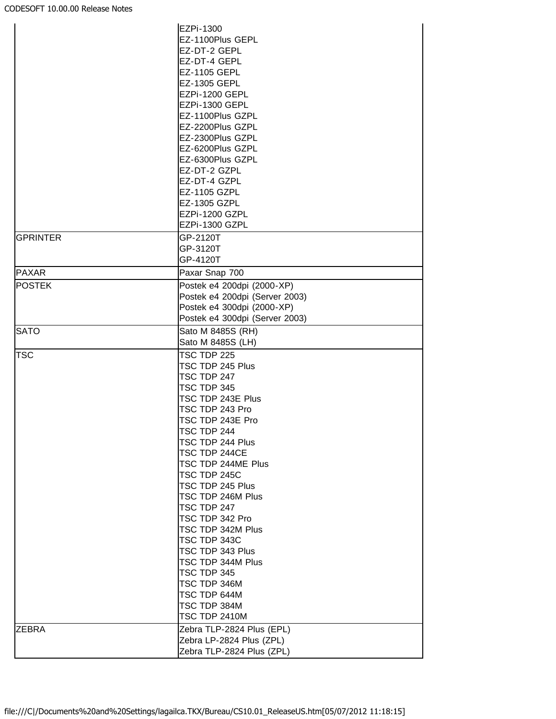|                 | EZPi-1300                              |
|-----------------|----------------------------------------|
|                 | EZ-1100Plus GEPL                       |
|                 | EZ-DT-2 GEPL                           |
|                 | EZ-DT-4 GEPL                           |
|                 | EZ-1105 GEPL                           |
|                 | EZ-1305 GEPL                           |
|                 | EZPi-1200 GEPL                         |
|                 | EZPi-1300 GEPL                         |
|                 | EZ-1100Plus GZPL                       |
|                 | EZ-2200Plus GZPL                       |
|                 | EZ-2300Plus GZPL                       |
|                 | EZ-6200Plus GZPL                       |
|                 | EZ-6300Plus GZPL                       |
|                 | EZ-DT-2 GZPL                           |
|                 | EZ-DT-4 GZPL                           |
|                 | EZ-1105 GZPL                           |
|                 | EZ-1305 GZPL                           |
|                 | EZPi-1200 GZPL                         |
|                 | EZPi-1300 GZPL                         |
|                 |                                        |
| <b>GPRINTER</b> | GP-2120T                               |
|                 | GP-3120T                               |
| <b>PAXAR</b>    | GP-4120T                               |
|                 | Paxar Snap 700                         |
| <b>POSTEK</b>   | Postek e4 200dpi (2000-XP)             |
|                 | Postek e4 200dpi (Server 2003)         |
|                 | Postek e4 300dpi (2000-XP)             |
|                 | Postek e4 300dpi (Server 2003)         |
| <b>SATO</b>     | Sato M 8485S (RH)<br>Sato M 8485S (LH) |
| <b>TSC</b>      | TSC TDP 225                            |
|                 | TSC TDP 245 Plus                       |
|                 | TSC TDP 247                            |
|                 | TSC TDP 345                            |
|                 | TSC TDP 243E Plus                      |
|                 |                                        |
|                 | TSC TDP 243 Pro                        |
|                 | TSC TDP 243E Pro                       |
|                 | TSC TDP 244                            |
|                 | TSC TDP 244 Plus                       |
|                 | TSC TDP 244CE                          |
|                 | TSC TDP 244ME Plus                     |
|                 | TSC TDP 245C                           |
|                 | TSC TDP 245 Plus                       |
|                 | TSC TDP 246M Plus                      |
|                 | TSC TDP 247                            |
|                 | TSC TDP 342 Pro                        |
|                 | TSC TDP 342M Plus                      |
|                 | TSC TDP 343C                           |
|                 | TSC TDP 343 Plus                       |
|                 | TSC TDP 344M Plus                      |
|                 | TSC TDP 345                            |
|                 | TSC TDP 346M                           |
|                 | TSC TDP 644M                           |
|                 | TSC TDP 384M                           |
|                 | TSC TDP 2410M                          |
| <b>ZEBRA</b>    | Zebra TLP-2824 Plus (EPL)              |
|                 | Zebra LP-2824 Plus (ZPL)               |
|                 | Zebra TLP-2824 Plus (ZPL)              |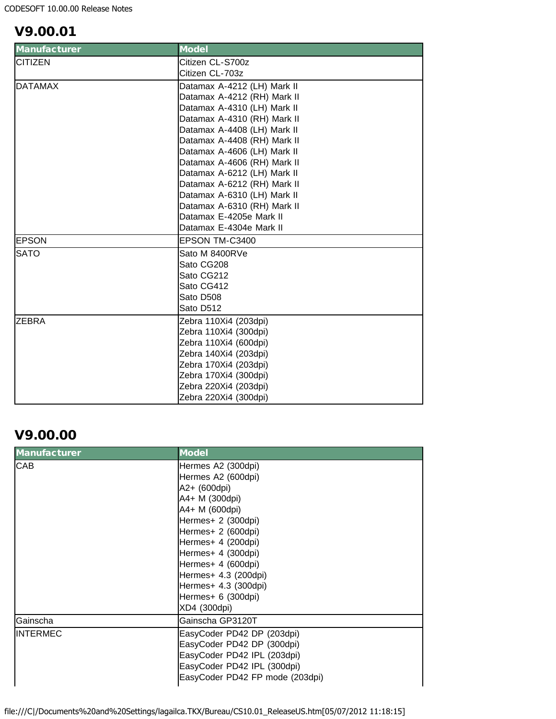# V9.00.01

| <b>Manufacturer</b> | <b>Model</b>                |
|---------------------|-----------------------------|
| <b>CITIZEN</b>      | Citizen CL-S700z            |
|                     | Citizen CL-703z             |
| <b>DATAMAX</b>      | Datamax A-4212 (LH) Mark II |
|                     | Datamax A-4212 (RH) Mark II |
|                     | Datamax A-4310 (LH) Mark II |
|                     | Datamax A-4310 (RH) Mark II |
|                     | Datamax A-4408 (LH) Mark II |
|                     | Datamax A-4408 (RH) Mark II |
|                     | Datamax A-4606 (LH) Mark II |
|                     | Datamax A-4606 (RH) Mark II |
|                     | Datamax A-6212 (LH) Mark II |
|                     | Datamax A-6212 (RH) Mark II |
|                     | Datamax A-6310 (LH) Mark II |
|                     | Datamax A-6310 (RH) Mark II |
|                     | Datamax E-4205e Mark II     |
|                     | Datamax E-4304e Mark II     |
| <b>EPSON</b>        | EPSON TM-C3400              |
| <b>SATO</b>         | Sato M 8400RVe              |
|                     | Sato CG208                  |
|                     | Sato CG212                  |
|                     | Sato CG412                  |
|                     | Sato D508                   |
|                     | Sato D512                   |
| <b>ZEBRA</b>        | Zebra 110Xi4 (203dpi)       |
|                     | Zebra 110Xi4 (300dpi)       |
|                     | Zebra 110Xi4 (600dpi)       |
|                     | Zebra 140Xi4 (203dpi)       |
|                     | Zebra 170Xi4 (203dpi)       |
|                     | Zebra 170Xi4 (300dpi)       |
|                     | Zebra 220Xi4 (203dpi)       |
|                     | Zebra 220Xi4 (300dpi)       |

# V9.00.00

| <b>Model</b>                    |
|---------------------------------|
| Hermes A2 (300dpi)              |
| Hermes A2 (600dpi)              |
| A2+ (600dpi)                    |
| A4+ M (300dpi)                  |
| A4+ M (600dpi)                  |
| Hermes+ 2 (300dpi)              |
| Hermes+ 2 (600dpi)              |
| Hermes+ 4 (200dpi)              |
| Hermes+ 4 (300dpi)              |
| Hermes+ 4 (600dpi)              |
| Hermes+ 4.3 (200dpi)            |
| Hermes+ 4.3 (300dpi)            |
| Hermes+ 6 (300dpi)              |
| XD4 (300dpi)                    |
| Gainscha GP3120T                |
| EasyCoder PD42 DP (203dpi)      |
| EasyCoder PD42 DP (300dpi)      |
| EasyCoder PD42 IPL (203dpi)     |
| EasyCoder PD42 IPL (300dpi)     |
| EasyCoder PD42 FP mode (203dpi) |
|                                 |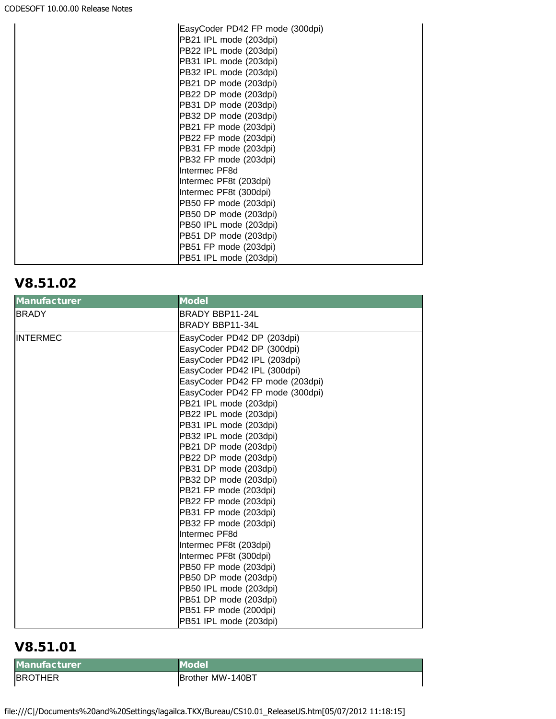| EasyCoder PD42 FP mode (300dpi) |
|---------------------------------|
| PB21 IPL mode (203dpi)          |
| PB22 IPL mode (203dpi)          |
| PB31 IPL mode (203dpi)          |
| PB32 IPL mode (203dpi)          |
| PB21 DP mode (203dpi)           |
| PB22 DP mode (203dpi)           |
| PB31 DP mode (203dpi)           |
| PB32 DP mode (203dpi)           |
| PB21 FP mode (203dpi)           |
| PB22 FP mode (203dpi)           |
| PB31 FP mode (203dpi)           |
| PB32 FP mode (203dpi)           |
| Intermec PF8d                   |
| Intermec PF8t (203dpi)          |
| Intermec PF8t (300dpi)          |
| PB50 FP mode (203dpi)           |
| PB50 DP mode (203dpi)           |
| PB50 IPL mode (203dpi)          |
| PB51 DP mode (203dpi)           |
| PB51 FP mode (203dpi)           |
| PB51 IPL mode (203dpi)          |

# V8.51.02

| <b>Manufacturer</b> | <b>Model</b>                    |
|---------------------|---------------------------------|
| <b>BRADY</b>        | BRADY BBP11-24L                 |
|                     | BRADY BBP11-34L                 |
| <b>INTERMEC</b>     | EasyCoder PD42 DP (203dpi)      |
|                     | EasyCoder PD42 DP (300dpi)      |
|                     | EasyCoder PD42 IPL (203dpi)     |
|                     | EasyCoder PD42 IPL (300dpi)     |
|                     | EasyCoder PD42 FP mode (203dpi) |
|                     | EasyCoder PD42 FP mode (300dpi) |
|                     | PB21 IPL mode (203dpi)          |
|                     | PB22 IPL mode (203dpi)          |
|                     | PB31 IPL mode (203dpi)          |
|                     | PB32 IPL mode (203dpi)          |
|                     | PB21 DP mode (203dpi)           |
|                     | PB22 DP mode (203dpi)           |
|                     | PB31 DP mode (203dpi)           |
|                     | PB32 DP mode (203dpi)           |
|                     | PB21 FP mode (203dpi)           |
|                     | PB22 FP mode (203dpi)           |
|                     | PB31 FP mode (203dpi)           |
|                     | PB32 FP mode (203dpi)           |
|                     | Intermec PF8d                   |
|                     | Intermec PF8t (203dpi)          |
|                     | Intermec PF8t (300dpi)          |
|                     | PB50 FP mode (203dpi)           |
|                     | PB50 DP mode (203dpi)           |
|                     | PB50 IPL mode (203dpi)          |
|                     | PB51 DP mode (203dpi)           |
|                     | PB51 FP mode (200dpi)           |
|                     | PB51 IPL mode (203dpi)          |

# V8.51.01

Manufacturer Model BROTHER **BROTHER** Brother MW-140BT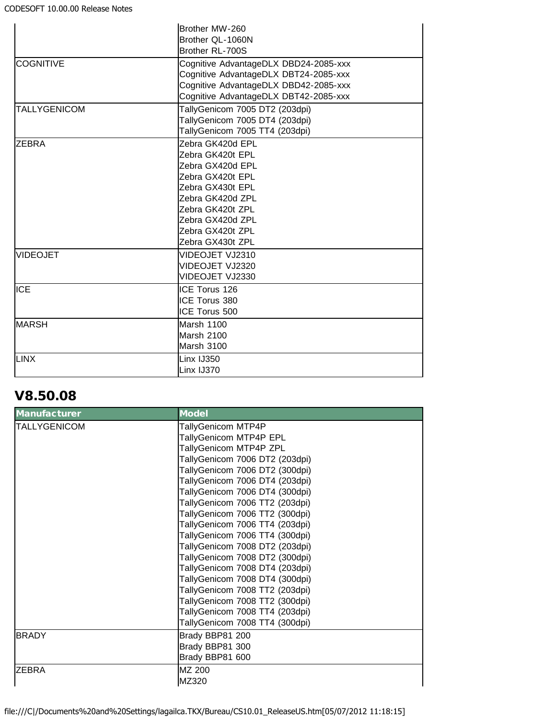|                     | Brother MW-260<br>Brother QL-1060N<br>Brother RL-700S                                                                                                                                                |
|---------------------|------------------------------------------------------------------------------------------------------------------------------------------------------------------------------------------------------|
| <b>COGNITIVE</b>    | Cognitive AdvantageDLX DBD24-2085-xxx<br>Cognitive AdvantageDLX DBT24-2085-xxx<br>Cognitive AdvantageDLX DBD42-2085-xxx<br>Cognitive AdvantageDLX DBT42-2085-xxx                                     |
| <b>TALLYGENICOM</b> | TallyGenicom 7005 DT2 (203dpi)<br>TallyGenicom 7005 DT4 (203dpi)<br>TallyGenicom 7005 TT4 (203dpi)                                                                                                   |
| <b>ZEBRA</b>        | Zebra GK420d EPL<br>Zebra GK420t EPL<br>Zebra GX420d EPL<br>Zebra GX420t EPL<br>Zebra GX430t EPL<br>Zebra GK420d ZPL<br>Zebra GK420t ZPL<br>Zebra GX420d ZPL<br>Zebra GX420t ZPL<br>Zebra GX430t ZPL |
| <b>VIDEOJET</b>     | VIDEOJET VJ2310<br>VIDEOJET VJ2320<br>VIDEOJET VJ2330                                                                                                                                                |
| <b>ICE</b>          | ICE Torus 126<br>ICE Torus 380<br>ICE Torus 500                                                                                                                                                      |
| <b>MARSH</b>        | Marsh 1100<br><b>Marsh 2100</b><br><b>Marsh 3100</b>                                                                                                                                                 |
| <b>LINX</b>         | Linx IJ350<br>Linx IJ370                                                                                                                                                                             |

# V8.50.08

| <b>Manufacturer</b> | <b>Model</b>                   |
|---------------------|--------------------------------|
| <b>TALLYGENICOM</b> | TallyGenicom MTP4P             |
|                     | TallyGenicom MTP4P EPL         |
|                     | TallyGenicom MTP4P ZPL         |
|                     | TallyGenicom 7006 DT2 (203dpi) |
|                     | TallyGenicom 7006 DT2 (300dpi) |
|                     | TallyGenicom 7006 DT4 (203dpi) |
|                     | TallyGenicom 7006 DT4 (300dpi) |
|                     | TallyGenicom 7006 TT2 (203dpi) |
|                     | TallyGenicom 7006 TT2 (300dpi) |
|                     | TallyGenicom 7006 TT4 (203dpi) |
|                     | TallyGenicom 7006 TT4 (300dpi) |
|                     | TallyGenicom 7008 DT2 (203dpi) |
|                     | TallyGenicom 7008 DT2 (300dpi) |
|                     | TallyGenicom 7008 DT4 (203dpi) |
|                     | TallyGenicom 7008 DT4 (300dpi) |
|                     | TallyGenicom 7008 TT2 (203dpi) |
|                     | TallyGenicom 7008 TT2 (300dpi) |
|                     | TallyGenicom 7008 TT4 (203dpi) |
|                     | TallyGenicom 7008 TT4 (300dpi) |
| <b>BRADY</b>        | Brady BBP81 200                |
|                     | Brady BBP81 300                |
|                     | Brady BBP81 600                |
| ZEBRA               | MZ 200                         |
|                     | MZ320                          |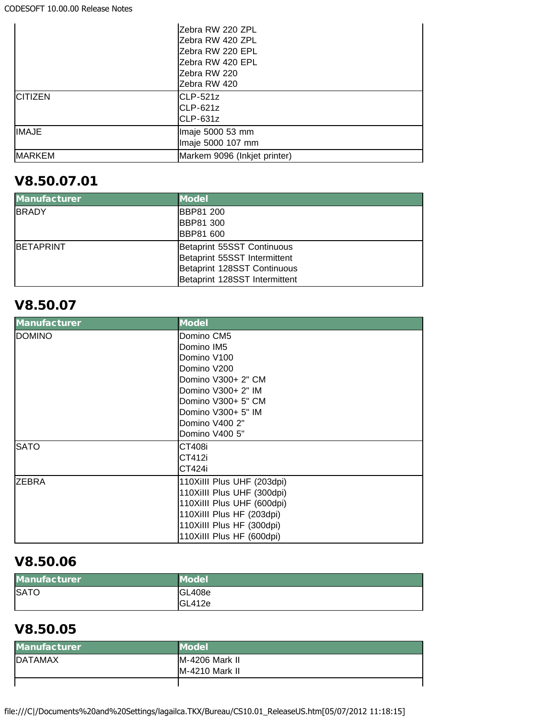|                | IZebra RW 220 ZPL<br>Zebra RW 420 ZPL<br>Zebra RW 220 EPL<br>Zebra RW 420 EPL<br>lZebra RW 220 |
|----------------|------------------------------------------------------------------------------------------------|
|                | IZebra RW 420                                                                                  |
| <b>CITIZEN</b> | $CLP-521z$<br>$CLP-621z$<br>$ICLP-631z$                                                        |
| <b>IMAJE</b>   | Imaje 5000 53 mm<br>Imaje 5000 107 mm                                                          |
| <b>MARKEM</b>  | Markem 9096 (Inkjet printer)                                                                   |

# V8.50.07.01

| <b>Manufacturer</b> | <b>Model</b>                  |
|---------------------|-------------------------------|
| <b>BRADY</b>        | <b>BBP81 200</b>              |
|                     | <b>BBP81 300</b>              |
|                     | <b>BBP81 600</b>              |
| <b>IBETAPRINT</b>   | Betaprint 55SST Continuous    |
|                     | Betaprint 55SST Intermittent  |
|                     | Betaprint 128SST Continuous   |
|                     | Betaprint 128SST Intermittent |

# V8.50.07

| <b>Manufacturer</b> | <b>Model</b>               |
|---------------------|----------------------------|
| DOMINO              | Domino CM5                 |
|                     | Domino IM5                 |
|                     | Domino V100                |
|                     | Domino V200                |
|                     | Domino V300+ 2" CM         |
|                     | Domino V300+ 2" IM         |
|                     | Domino V300+ 5" CM         |
|                     | Domino V300+ 5" IM         |
|                     | Domino V400 2"             |
|                     | Domino V400 5"             |
| <b>SATO</b>         | <b>CT408i</b>              |
|                     | CT412i                     |
|                     | CT424i                     |
| <b>ZEBRA</b>        | 110XiIII Plus UHF (203dpi) |
|                     | 110Xilll Plus UHF (300dpi) |
|                     | 110Xilll Plus UHF (600dpi) |
|                     | 110Xilll Plus HF (203dpi)  |
|                     | 110Xilll Plus HF (300dpi)  |
|                     | 110Xilll Plus HF (600dpi)  |

# V8.50.06

| <b>Manufacturer</b> | <b>Model</b> |
|---------------------|--------------|
| <b>SATO</b>         | GL408e       |
|                     | GL412e       |

## V8.50.05

| <b>Manufacturer</b> | <b>Model</b>           |
|---------------------|------------------------|
| <b>DATAMAX</b>      | M-4206 Mark II         |
|                     | <b>IM-4210 Mark II</b> |
|                     |                        |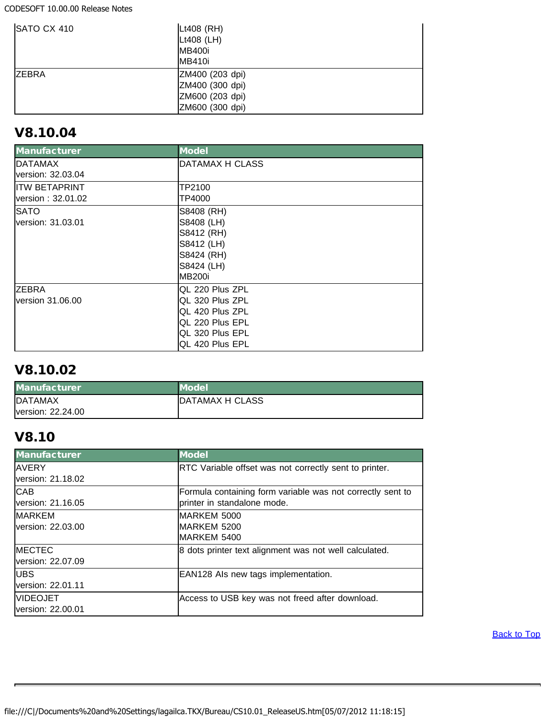CODESOFT 10.00.00 Release Notes

| SATO CX 410  | Lt408 (RH)      |
|--------------|-----------------|
|              | Lt408 (LH)      |
|              | <b>MB400i</b>   |
|              | <b>MB410i</b>   |
| <b>ZEBRA</b> | ZM400 (203 dpi) |
|              | ZM400 (300 dpi) |
|              | ZM600 (203 dpi) |
|              | ZM600 (300 dpi) |

## V8.10.04

| <b>Manufacturer</b> | <b>Model</b>           |
|---------------------|------------------------|
| DATAMAX             | DATAMAX H CLASS        |
| version: 32.03.04   |                        |
| IITW BETAPRINT      | TP2100                 |
| version: 32.01.02   | TP4000                 |
| <b>SATO</b>         | S8408 (RH)             |
| lversion: 31.03.01  | S8408 (LH)             |
|                     | S8412 (RH)             |
|                     | S8412 (LH)             |
|                     | S8424 (RH)             |
|                     | S8424 (LH)             |
|                     | <b>MB200i</b>          |
| ZEBRA               | <b>QL 220 Plus ZPL</b> |
| lversion 31.06.00   | IQL 320 Plus ZPL       |
|                     | IQL 420 Plus ZPL       |
|                     | QL 220 Plus EPL        |
|                     | QL 320 Plus EPL        |
|                     | IQL 420 Plus EPL       |

# V8.10.02

| <b>Manufacturer</b> | <b>Model</b>    |
|---------------------|-----------------|
| <b>DATAMAX</b>      | DATAMAX H CLASS |
| lversion: 22.24.00  |                 |

# V8.10

<span id="page-15-0"></span>

| Manufacturer       | <b>Model</b>                                               |
|--------------------|------------------------------------------------------------|
| <b>AVERY</b>       | RTC Variable offset was not correctly sent to printer.     |
| lversion: 21.18.02 |                                                            |
| <b>CAB</b>         | Formula containing form variable was not correctly sent to |
| version: 21.16.05  | printer in standalone mode.                                |
| <b>MARKEM</b>      | <b>IMARKEM 5000</b>                                        |
| lversion: 22.03.00 | <b>IMARKEM 5200</b>                                        |
|                    | IMARKEM 5400                                               |
| <b>MECTEC</b>      | 8 dots printer text alignment was not well calculated.     |
| version: 22.07.09  |                                                            |
| <b>UBS</b>         | EAN128 Als new tags implementation.                        |
| version: 22.01.11  |                                                            |
| <b>VIDEOJET</b>    | Access to USB key was not freed after download.            |
| lversion: 22.00.01 |                                                            |

**[Back to Top](#page-0-2)**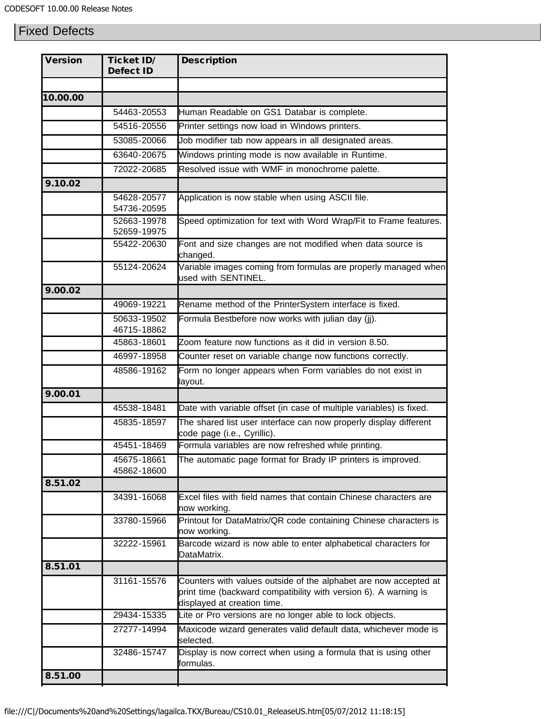## Fixed Defects

| <b>Version</b> | <b>Ticket ID/</b><br><b>Defect ID</b> | <b>Description</b>                                                                                                                                                  |
|----------------|---------------------------------------|---------------------------------------------------------------------------------------------------------------------------------------------------------------------|
|                |                                       |                                                                                                                                                                     |
| 10.00.00       |                                       |                                                                                                                                                                     |
|                | 54463-20553                           | Human Readable on GS1 Databar is complete.                                                                                                                          |
|                | 54516-20556                           | Printer settings now load in Windows printers.                                                                                                                      |
|                | 53085-20066                           | Job modifier tab now appears in all designated areas.                                                                                                               |
|                | 63640-20675                           | Windows printing mode is now available in Runtime.                                                                                                                  |
|                | 72022-20685                           | Resolved issue with WMF in monochrome palette.                                                                                                                      |
| 9.10.02        |                                       |                                                                                                                                                                     |
|                | 54628-20577<br>54736-20595            | Application is now stable when using ASCII file.                                                                                                                    |
|                | 52663-19978<br>52659-19975            | Speed optimization for text with Word Wrap/Fit to Frame features.                                                                                                   |
|                | 55422-20630                           | Font and size changes are not modified when data source is<br>changed.                                                                                              |
|                | 55124-20624                           | Variable images coming from formulas are properly managed when<br>used with SENTINEL.                                                                               |
| 9.00.02        |                                       |                                                                                                                                                                     |
|                | 49069-19221                           | Rename method of the PrinterSystem interface is fixed.                                                                                                              |
|                | 50633-19502                           | Formula Bestbefore now works with julian day (jj).                                                                                                                  |
|                | 46715-18862                           |                                                                                                                                                                     |
|                | 45863-18601                           | Zoom feature now functions as it did in version 8.50.                                                                                                               |
|                | 46997-18958                           | Counter reset on variable change now functions correctly.                                                                                                           |
|                | 48586-19162                           | Form no longer appears when Form variables do not exist in<br>layout.                                                                                               |
| 9.00.01        |                                       |                                                                                                                                                                     |
|                | 45538-18481                           | Date with variable offset (in case of multiple variables) is fixed.                                                                                                 |
|                | 45835-18597                           | The shared list user interface can now properly display different<br>code page (i.e., Cyrillic).                                                                    |
|                | 45451-18469                           | Formula variables are now refreshed while printing.                                                                                                                 |
|                | 45675-18661<br>45862-18600            | The automatic page format for Brady IP printers is improved.                                                                                                        |
| 8.51.02        |                                       |                                                                                                                                                                     |
|                | 34391-16068                           | Excel files with field names that contain Chinese characters are<br>now working.                                                                                    |
|                | 33780-15966                           | Printout for DataMatrix/QR code containing Chinese characters is<br>now working.                                                                                    |
|                | 32222-15961                           | Barcode wizard is now able to enter alphabetical characters for<br>DataMatrix.                                                                                      |
| 8.51.01        |                                       |                                                                                                                                                                     |
|                | 31161-15576                           | Counters with values outside of the alphabet are now accepted at<br>print time (backward compatibility with version 6). A warning is<br>displayed at creation time. |
|                | 29434-15335                           | Lite or Pro versions are no longer able to lock objects.                                                                                                            |
|                | 27277-14994                           | Maxicode wizard generates valid default data, whichever mode is<br>selected.                                                                                        |
|                | 32486-15747                           | Display is now correct when using a formula that is using other<br>formulas.                                                                                        |
| 8.51.00        |                                       |                                                                                                                                                                     |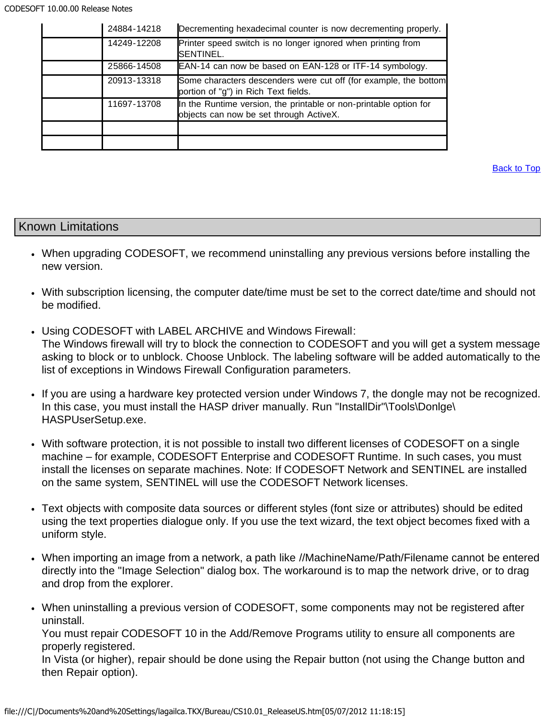| 24884-14218 | Decrementing hexadecimal counter is now decrementing properly.                                               |
|-------------|--------------------------------------------------------------------------------------------------------------|
| 14249-12208 | Printer speed switch is no longer ignored when printing from<br>SENTINEL.                                    |
| 25866-14508 | EAN-14 can now be based on EAN-128 or ITF-14 symbology.                                                      |
| 20913-13318 | Some characters descenders were cut off (for example, the bottom<br>portion of "g") in Rich Text fields.     |
| 11697-13708 | In the Runtime version, the printable or non-printable option for<br>objects can now be set through ActiveX. |
|             |                                                                                                              |
|             |                                                                                                              |

#### <span id="page-17-0"></span>Known Limitations

- When upgrading CODESOFT, we recommend uninstalling any previous versions before installing the new version.
- With subscription licensing, the computer date/time must be set to the correct date/time and should not be modified.
- Using CODESOFT with LABEL ARCHIVE and Windows Firewall: The Windows firewall will try to block the connection to CODESOFT and you will get a system message asking to block or to unblock. Choose Unblock. The labeling software will be added automatically to the list of exceptions in Windows Firewall Configuration parameters.
- If you are using a hardware key protected version under Windows 7, the dongle may not be recognized. In this case, you must install the HASP driver manually. Run "InstallDir"\Tools\Donlge\ HASPUserSetup.exe.
- With software protection, it is not possible to install two different licenses of CODESOFT on a single machine – for example, CODESOFT Enterprise and CODESOFT Runtime. In such cases, you must install the licenses on separate machines. Note: If CODESOFT Network and SENTINEL are installed on the same system, SENTINEL will use the CODESOFT Network licenses.
- Text objects with composite data sources or different styles (font size or attributes) should be edited using the text properties dialogue only. If you use the text wizard, the text object becomes fixed with a uniform style.
- When importing an image from a network, a path like //MachineName/Path/Filename cannot be entered directly into the "Image Selection" dialog box. The workaround is to map the network drive, or to drag and drop from the explorer.
- When uninstalling a previous version of CODESOFT, some components may not be registered after uninstall.

You must repair CODESOFT 10 in the Add/Remove Programs utility to ensure all components are properly registered.

In Vista (or higher), repair should be done using the Repair button (not using the Change button and then Repair option).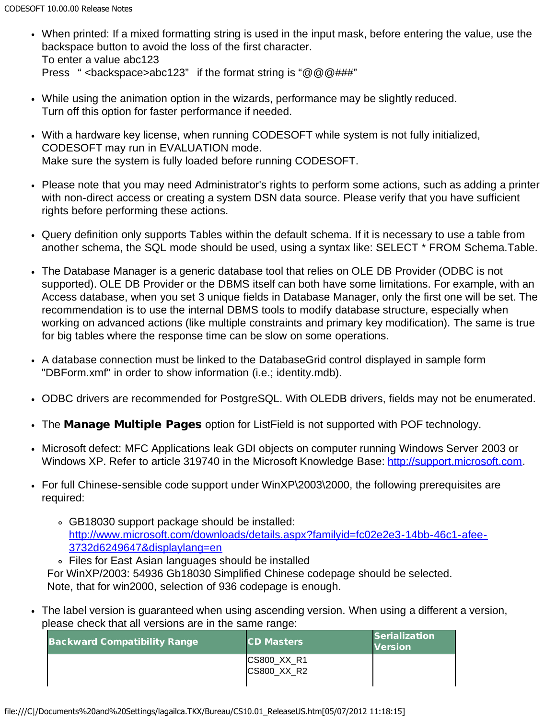- When printed: If a mixed formatting string is used in the input mask, before entering the value, use the backspace button to avoid the loss of the first character. To enter a value abc123 Press " <br/>backspace>abc123" if the format string is " $@@@###$ "
- While using the animation option in the wizards, performance may be slightly reduced. Turn off this option for faster performance if needed.
- With a hardware key license, when running CODESOFT while system is not fully initialized, CODESOFT may run in EVALUATION mode. Make sure the system is fully loaded before running CODESOFT.
- Please note that you may need Administrator's rights to perform some actions, such as adding a printer with non-direct access or creating a system DSN data source. Please verify that you have sufficient rights before performing these actions.
- Query definition only supports Tables within the default schema. If it is necessary to use a table from another schema, the SQL mode should be used, using a syntax like: SELECT \* FROM Schema.Table.
- The Database Manager is a generic database tool that relies on OLE DB Provider (ODBC is not supported). OLE DB Provider or the DBMS itself can both have some limitations. For example, with an Access database, when you set 3 unique fields in Database Manager, only the first one will be set. The recommendation is to use the internal DBMS tools to modify database structure, especially when working on advanced actions (like multiple constraints and primary key modification). The same is true for big tables where the response time can be slow on some operations.
- A database connection must be linked to the DatabaseGrid control displayed in sample form "DBForm.xmf" in order to show information (i.e.; identity.mdb).
- ODBC drivers are recommended for PostgreSQL. With OLEDB drivers, fields may not be enumerated.
- The Manage Multiple Pages option for ListField is not supported with POF technology.
- Microsoft defect: MFC Applications leak GDI objects on computer running Windows Server 2003 or Windows XP. Refer to article 319740 in the Microsoft Knowledge Base: [http://support.microsoft.com.](http://support.microsoft.com/)
- For full Chinese-sensible code support under WinXP\2003\2000, the following prerequisites are required:
	- GB18030 support package should be installed: [http://www.microsoft.com/downloads/details.aspx?familyid=fc02e2e3-14bb-46c1-afee-](http://www.microsoft.com/downloads/details.aspx?familyid=fc02e2e3-14bb-46c1-afee-3732d6249647&displaylang=en)[3732d6249647&displaylang=en](http://www.microsoft.com/downloads/details.aspx?familyid=fc02e2e3-14bb-46c1-afee-3732d6249647&displaylang=en)
	- Files for East Asian languages should be installed For WinXP/2003: 54936 Gb18030 Simplified Chinese codepage should be selected. Note, that for win2000, selection of 936 codepage is enough.
- The label version is guaranteed when using ascending version. When using a different a version, please check that all versions are in the same range:

| <b>Backward Compatibility Range</b> | <b>CD Masters</b>  | Serialization<br><b>Version</b> |
|-------------------------------------|--------------------|---------------------------------|
|                                     | CS800_XX_R1        |                                 |
|                                     | <b>CS800 XX R2</b> |                                 |
|                                     |                    |                                 |